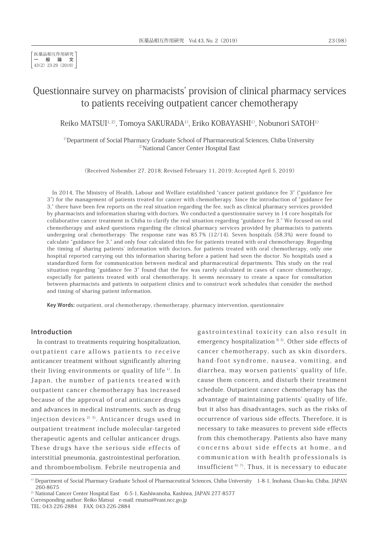医薬品相互作用研究 一般論文 43(2) 23-29 (2019)

# Questionnaire survey on pharmacists' provision of clinical pharmacy services to patients receiving outpatient cancer chemotherapy

Reiko MATSUI<sup>1,2)</sup>, Tomoya SAKURADA<sup>1)</sup>, Eriko KOBAYASHI<sup>1)</sup>, Nobunori SATOH<sup>1)</sup>

<sup>1)</sup>Department of Social Pharmacy Graduate School of Pharmaceutical Sciences, Chiba University <sup>2)</sup>National Cancer Center Hospital East

(Received Nobember 27, 2018; Revised February 11, 2019; Accepted April 5, 2019)

In 2014, The Ministry of Health, Labour and Welfare established "cancer patient guidance fee 3" ("guidance fee 3") for the management of patients treated for cancer with chemotherapy. Since the introduction of "guidance fee 3," there have been few reports on the real situation regarding the fee, such as clinical pharmacy services provided by pharmacists and information sharing with doctors. We conducted a questionnaire survey in 14 core hospitals for collaborative cancer treatment in Chiba to clarify the real situation regarding "guidance fee 3." We focused on oral chemotherapy and asked questions regarding the clinical pharmacy services provided by pharmacists to patients undergoing oral chemotherapy. The response rate was 85.7% (12/14). Seven hospitals (58.3%) were found to calculate "guidance fee 3," and only four calculated this fee for patients treated with oral chemotherapy. Regarding the timing of sharing patients' information with doctors, for patients treated with oral chemotherapy, only one hospital reported carrying out this information sharing before a patient had seen the doctor. No hospitals used a standardized form for communication between medical and pharmaceutical departments. This study on the real situation regarding "guidance fee 3" found that the fee was rarely calculated in cases of cancer chemotherapy, especially for patients treated with oral chemotherapy. It seems necessary to create a space for consultation between pharmacists and patients in outpatient clinics and to construct work schedules that consider the method and timing of sharing patient information.

Key Words: outpatient, oral chemotherapy, chemotherapy, pharmacy intervention, questionnaire

#### Introduction

In contrast to treatments requiring hospitalization, outpatient care allows patients to receive anticancer treatment without significantly altering their living environments or quality of life<sup> $1$ </sup>. In Japan, the number of patients treated with outpatient cancer chemotherapy has increased because of the approval of oral anticancer drugs and advances in medical instruments, such as drug injection devices 2) 3). Anticancer drugs used in outpatient treatment include molecular-targeted therapeutic agents and cellular anticancer drugs. These drugs have the serious side effects of interstitial pneumonia, gastrointestinal perforation, and thromboembolism. Febrile neutropenia and

gastrointestinal toxicity can also result in emergency hospitalization<sup> $4)$  5). Other side effects of</sup> cancer chemotherapy, such as skin disorders, hand-foot syndrome, nausea, vomiting, and diarrhea, may worsen patients' quality of life, cause them concern, and disturb their treatment schedule. Outpatient cancer chemotherapy has the advantage of maintaining patients' quality of life, but it also has disadvantages, such as the risks of occurrence of various side effects. Therefore, it is necessary to take measures to prevent side effects from this chemotherapy. Patients also have many concerns about side effects at home, and communication with health professionals is insufficient  $67$ , Thus, it is necessary to educate

<sup>&</sup>lt;sup>1)</sup> Department of Social Pharmacy Graduate School of Pharmaceutical Sciences, Chiba University 1-8-1, Inohana, Chuo-ku, Chiba, JAPAN 260-8675

<sup>&</sup>lt;sup>2)</sup> National Cancer Center Hospital East 6-5-1, Kashiwanoha, Kashiwa, JAPAN 277-8577

Corresponding author: Reiko Matsui e-mail: rmatsui@east.ncc.go.jp

TEL: 043-226-2884 FAX: 043-226-2884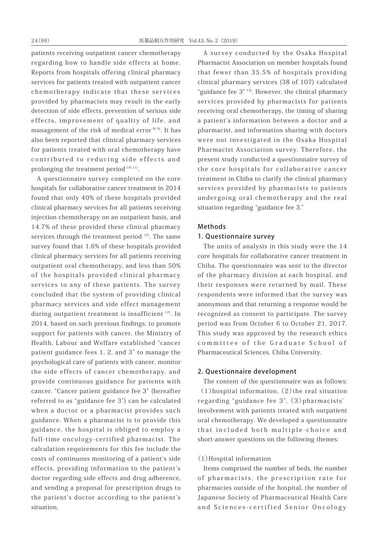patients receiving outpatient cancer chemotherapy regarding how to handle side effects at home. Reports from hospitals offering clinical pharmacy services for patients treated with outpatient cancer chemotherapy indicate that these services provided by pharmacists may result in the early detection of side effects, prevention of serious side effects, improvement of quality of life, and management of the risk of medical error  $8^{9}$ . It has also been reported that clinical pharmacy services for patients treated with oral chemotherapy have contributed to reducing side effects and prolonging the treatment period<sup>10) 11)</sup>.

A questionnaire survey completed on the core hospitals for collaborative cancer treatment in 2014 found that only 40% of these hospitals provided clinical pharmacy services for all patients receiving injection chemotherapy on an outpatient basis, and 14.7% of these provided these clinical pharmacy services through the treatment period  $12$ ). The same survey found that 1.6% of these hospitals provided clinical pharmacy services for all patients receiving outpatient oral chemotherapy, and less than 50% of the hospitals provided clinical pharmacy services to any of these patients. The survey concluded that the system of providing clinical pharmacy services and side effect management during outpatient treatment is insufficient  $12$ ). In 2014, based on such previous findings, to promote support for patients with cancer, the Ministry of Health, Labour and Welfare established "cancer patient guidance fees 1, 2, and 3" to manage the psychological care of patients with cancer, monitor the side effects of cancer chemotherapy, and provide continuous guidance for patients with cancer. "Cancer patient guidance fee 3" (hereafter referred to as "guidance fee 3") can be calculated when a doctor or a pharmacist provides such guidance. When a pharmacist is to provide this guidance, the hospital is obliged to employ a full-time oncology-certified pharmacist. The calculation requirements for this fee include the costs of continuous monitoring of a patient's side effects, providing information to the patient's doctor regarding side effects and drug adherence, and sending a proposal for prescription drugs to the patient's doctor according to the patient's situation.

A survey conducted by the Osaka Hospital Pharmacist Association on member hospitals found that fewer than 35.5% of hospitals providing clinical pharmacy services (38 of 107) calculated "guidance fee 3" 13). However, the clinical pharmacy services provided by pharmacists for patients receiving oral chemotherapy, the timing of sharing a patient's information between a doctor and a pharmacist, and information sharing with doctors were not investigated in the Osaka Hospital Pharmacist Association survey. Therefore, the present study conducted a questionnaire survey of the core hospitals for collaborative cancer treatment in Chiba to clarify the clinical pharmacy services provided by pharmacists to patients undergoing oral chemotherapy and the real situation regarding "guidance fee 3."

#### Methods

### 1. Questionnaire survey

The units of analysis in this study were the 14 core hospitals for collaborative cancer treatment in Chiba. The questionnaire was sent to the director of the pharmacy division at each hospital, and their responses were returned by mail. These respondents were informed that the survey was anonymous and that returning a response would be recognized as consent to participate. The survey period was from October 6 to October 21, 2017. This study was approved by the research ethics committee of the Graduate School of Pharmaceutical Sciences, Chiba University.

#### 2. Questionnaire development

The content of the questionnaire was as follows:  $(1)$ hospital information,  $(2)$  the real situation regarding "guidance fee 3", (3)pharmacists' involvement with patients treated with outpatient oral chemotherapy. We developed a questionnaire that included both multiple-choice and short-answer questions on the following themes:

### (1)Hospital information

Items comprised the number of beds, the number of pharmacists, the prescription rate for pharmacies outside of the hospital, the number of Japanese Society of Pharmaceutical Health Care and Sciences-certified Senior Oncology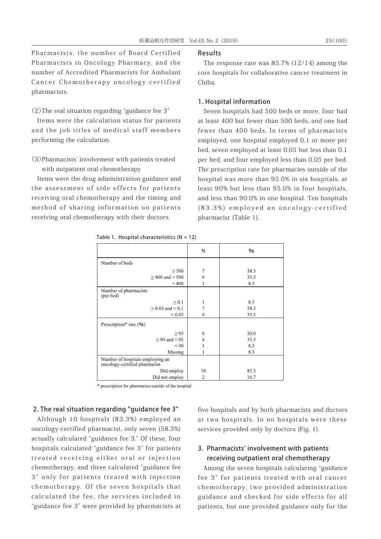Pharmacists, the number of Board Certified Pharmacists in Oncology Pharmacy, and the number of Accredited Pharmacists for Ambulant Cancer Chemotherapy oncology-certified pharmacists.

(2)The real situation regarding "guidance fee 3"

Items were the calculation status for patients and the job titles of medical staff members performing the calculation.

(3)Pharmacists' involvement with patients treated with outpatient oral chemotherapy

Items were the drug administration guidance and the assessment of side effects for patients receiving oral chemotherapy and the timing and method of sharing information on patients receiving oral chemotherapy with their doctors.

#### Results

The response rate was 85.7% (12/14) among the core hospitals for collaborative cancer treatment in Chiba.

## 1. Hospital information

Seven hospitals had 500 beds or more, four had at least 400 but fewer than 500 beds, and one had fewer than 400 beds. In terms of pharmacists employed, one hospital employed 0.1 or more per bed, seven employed at least 0.05 but less than 0.1 per bed, and four employed less than 0.05 per bed. The prescription rate for pharmacies outside of the hospital was more than 95.0% in six hospitals, at least 90% but less than 95.0% in four hospitals, and less than 90.0% in one hospital. Ten hospitals (83.3%) employed an oncology-certified pharmacist (Table 1).

|                                                                   | N              | $\%$                |
|-------------------------------------------------------------------|----------------|---------------------|
| Number of beds                                                    |                |                     |
| $\geq$ 500<br>$>$ 400 and $<$ 500<br>${}_{< 400}$                 | 7<br>4<br>1    | 58.3<br>33.3<br>8.3 |
| Number of pharmacists<br>(per bed)                                |                |                     |
| $\geq 0.1$                                                        | $\mathbf{1}$   | 8.3                 |
| $> 0.05$ and $< 0.1$                                              | 7              | 58.3                |
| ${}_{\leq 0.05}$                                                  | 4              | 33.3                |
| Prescription* rate (%)                                            |                |                     |
| $\geq$ 95                                                         | 6              | 50.0                |
| $\geq$ 90 and < 95                                                | 4              | 33.3                |
| ${}_{< 90}$                                                       |                | 8.3                 |
| Missing                                                           |                | 8.3                 |
| Number of hospitals employing an<br>oncology-certified pharmacist |                |                     |
| Did employ                                                        | 10             | 83.3                |
| Did not employ                                                    | $\overline{c}$ | 16.7                |

Table 1. Hospital characteristics  $(N = 12)$ 

\* prescription for pharmacies outside of the hospital

# 2. The real situation regarding "guidance fee 3"

Although 10 hospitals (83.3%) employed an oncology-certified pharmacist, only seven (58.3%) actually calculated "guidance fee 3." Of these, four hospitals calculated "guidance fee 3" for patients treated receiving either oral or injection chemotherapy, and three calculated "guidance fee 3" only for patients treated with injection chemotherapy. Of the seven hospitals that calculated the fee, the services included in "guidance fee 3" were provided by pharmacists at

five hospitals and by both pharmacists and doctors at two hospitals. In no hospitals were these services provided only by doctors (Fig. 1).

# 3. Pharmacists' involvement with patients receiving outpatient oral chemotherapy

Among the seven hospitals calculating "guidance fee 3" for patients treated with oral cancer chemotherapy, two provided administration guidance and checked for side effects for all patients, but one provided guidance only for the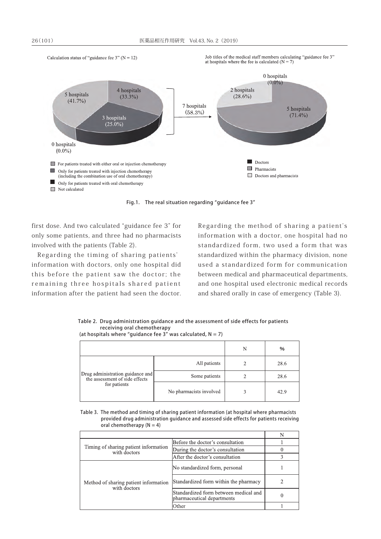Calculation status of "guidance fee 3" ( $N = 12$ )

Job titles of the medical staff members calculating "guidance fee 3" at hospitals where the fee is calculated  $(N = 7)$ 



Fig.1. The real situation regarding "guidance fee 3"

first dose. And two calculated "guidance fee 3" for only some patients, and three had no pharmacists involved with the patients (Table 2).

Regarding the timing of sharing patients' information with doctors, only one hospital did this before the patient saw the doctor; the remaining three hospitals shared patient information after the patient had seen the doctor.

Regarding the method of sharing a patient's information with a doctor, one hospital had no standardized form, two used a form that was standardized within the pharmacy division, none used a standardized form for communication between medical and pharmaceutical departments, and one hospital used electronic medical records and shared orally in case of emergency (Table 3).

Table 2. Drug administration guidance and the assessment of side effects for patients receiving oral chemotherapy (at hospitals where "quidance fee 3" was calculated,  $N = 7$ )

|                                                                                    |                         | N | %    |
|------------------------------------------------------------------------------------|-------------------------|---|------|
| Drug administration guidance and<br>the assessment of side effects<br>for patients | All patients            |   | 28.6 |
|                                                                                    | Some patients           |   | 28.6 |
|                                                                                    | No pharmacists involved |   | 42.9 |

Table 3. The method and timing of sharing patient information (at hospital where pharmacists provided drug administration guidance and assessed side effects for patients receiving oral chemotherapy  $(N = 4)$ 

| Timing of sharing patient information<br>with doctors | Before the doctor's consultation                                    |   |
|-------------------------------------------------------|---------------------------------------------------------------------|---|
|                                                       | During the doctor's consultation                                    |   |
|                                                       | After the doctor's consultation                                     |   |
| Method of sharing patient information<br>with doctors | No standardized form, personal                                      |   |
|                                                       | Standardized form within the pharmacy                               |   |
|                                                       | Standardized form between medical and<br>pharmaceutical departments | 0 |
|                                                       | Other                                                               |   |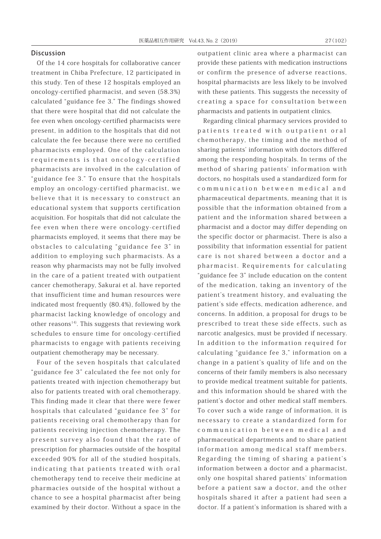#### Discussion

Of the 14 core hospitals for collaborative cancer treatment in Chiba Prefecture, 12 participated in this study. Ten of these 12 hospitals employed an oncology-certified pharmacist, and seven (58.3%) calculated "guidance fee 3." The findings showed that there were hospital that did not calculate the fee even when oncology-certified pharmacists were present, in addition to the hospitals that did not calculate the fee because there were no certified pharmacists employed. One of the calculation requirements is that oncology-certified pharmacists are involved in the calculation of "guidance fee 3." To ensure that the hospitals employ an oncology-certified pharmacist, we believe that it is necessary to construct an educational system that supports certification acquisition. For hospitals that did not calculate the fee even when there were oncology-certified pharmacists employed, it seems that there may be obstacles to calculating "guidance fee 3" in addition to employing such pharmacists. As a reason why pharmacists may not be fully involved in the care of a patient treated with outpatient cancer chemotherapy, Sakurai et al. have reported that insufficient time and human resources were indicated most frequently (80.4%), followed by the pharmacist lacking knowledge of oncology and other reasons<sup>14)</sup>. This suggests that reviewing work schedules to ensure time for oncology-certified pharmacists to engage with patients receiving outpatient chemotherapy may be necessary.

Four of the seven hospitals that calculated "guidance fee 3" calculated the fee not only for patients treated with injection chemotherapy but also for patients treated with oral chemotherapy. This finding made it clear that there were fewer hospitals that calculated "guidance fee 3" for patients receiving oral chemotherapy than for patients receiving injection chemotherapy. The present survey also found that the rate of prescription for pharmacies outside of the hospital exceeded 90% for all of the studied hospitals, indicating that patients treated with oral chemotherapy tend to receive their medicine at pharmacies outside of the hospital without a chance to see a hospital pharmacist after being examined by their doctor. Without a space in the outpatient clinic area where a pharmacist can provide these patients with medication instructions or confirm the presence of adverse reactions, hospital pharmacists are less likely to be involved with these patients. This suggests the necessity of creating a space for consultation between pharmacists and patients in outpatient clinics.

Regarding clinical pharmacy services provided to patients treated with outpatient oral chemotherapy, the timing and the method of sharing patients' information with doctors differed among the responding hospitals. In terms of the method of sharing patients' information with doctors, no hospitals used a standardized form for communication between medical and pharmaceutical departments, meaning that it is possible that the information obtained from a patient and the information shared between a pharmacist and a doctor may differ depending on the specific doctor or pharmacist. There is also a possibility that information essential for patient care is not shared between a doctor and a pharmacist. Requirements for calculating "guidance fee 3" include education on the content of the medication, taking an inventory of the patient's treatment history, and evaluating the patient's side effects, medication adherence, and concerns. In addition, a proposal for drugs to be prescribed to treat these side effects, such as narcotic analgesics, must be provided if necessary. In addition to the information required for calculating "guidance fee 3," information on a change in a patient's quality of life and on the concerns of their family members is also necessary to provide medical treatment suitable for patients, and this information should be shared with the patient's doctor and other medical staff members. To cover such a wide range of information, it is necessary to create a standardized form for communication between medical and pharmaceutical departments and to share patient information among medical staff members. Regarding the timing of sharing a patient's information between a doctor and a pharmacist, only one hospital shared patients' information before a patient saw a doctor, and the other hospitals shared it after a patient had seen a doctor. If a patient's information is shared with a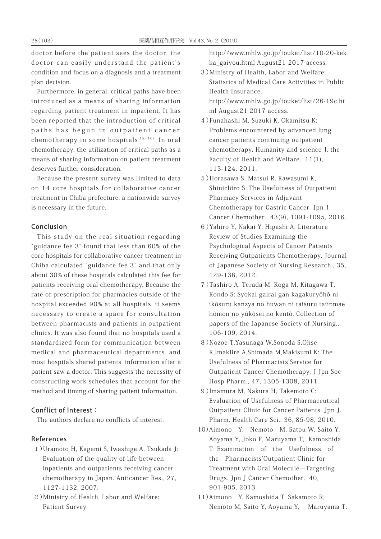doctor before the patient sees the doctor, the doctor can easily understand the patient's condition and focus on a diagnosis and a treatment plan decision.

Furthermore, in general, critical paths have been introduced as a means of sharing information regarding patient treatment in inpatient. It has been reported that the introduction of critical paths has begun in outpatient cancer chemotherapy in some hospitals 15) 16) . In oral chemotherapy, the utilization of critical paths as a means of sharing information on patient treatment deserves further consideration.

Because the present survey was limited to data on 14 core hospitals for collaborative cancer treatment in Chiba prefecture, a nationwide survey is necessary in the future.

#### Conclusion

This study on the real situation regarding "guidance fee 3" found that less than 60% of the core hospitals for collaborative cancer treatment in Chiba calculated "guidance fee 3" and that only about 30% of these hospitals calculated this fee for patients receiving oral chemotherapy. Because the rate of prescription for pharmacies outside of the hospital exceeded 90% at all hospitals, it seems necessary to create a space for consultation between pharmacists and patients in outpatient clinics. It was also found that no hospitals used a standardized form for communication between medical and pharmaceutical departments, and most hospitals shared patients' information after a patient saw a doctor. This suggests the necessity of constructing work schedules that account for the method and timing of sharing patient information.

# Conflict of Interest:

The authors declare no conflicts of interest.

## References

- 1)Uramoto H, Kagami S, Iwashige A, Tsukada J: Evaluation of the quality of life between inpatients and outpatients receiving cancer chemotherapy in Japan. Anticancer Res., 27, 1127-1132, 2007.
- 2)Ministry of Health, Labor and Welfare: Patient Survey.

http://www.mhlw.go.jp/toukei/list/10-20-kek ka\_gaiyou.html August21 2017 access.

- 3)Ministry of Health, Labor and Welfare: Statistics of Medical Care Activities in Public Health Insurance. http://www.mhlw.go.jp/toukei/list/26-19c.ht ml August21 2017 access.
- 4)Funahashi M, Suzuki K, Okamitsu K: Problems encountered by advanced lung cancer patients continuing outpatient chemotherapy. Humanity and science J. the Faculty of Health and Welfare., 11(1), 113-124, 2011.
- 5)Horasawa S, Matsui R, Kawasumi K, Shinichiro S: The Usefulness of Outpatient Pharmacy Services in Adjuvant Chemotherapy for Gastric Cancer. Jpn J Cancer Chemother., 43(9), 1091-1095, 2016.
- 6)Yahiro Y, Nakai Y, Higashi A: Literature Review of Studies Examining the Psychological Aspects of Cancer Patients Receiving Outpatients Chemotherapy. Journal of Japanese Society of Nursing Research., 35, 129-136, 2012.
- 7)Tashiro A, Terada M, Koga M, Kitagawa T, Kondo S: Syokai gairai gan kagakuryôhô ni ikôsuru kanzya no huwan ni taisuru taiinmae hômon no yûkôsei no kentô. Collection of papers of the Japanese Society of Nursing., 106-109, 2014.
- 8)Nozoe T,Yasunaga W,Sonoda S,Ohse K,lmakiire A,Shimada M,Makisumi K: The Usefulness of Pharmacists'Service for Outpatient Cancer Chemotherapy. J Jpn Soc Hosp Pharm., 47, 1305-1308, 2011.
- 9)lmamura M, Nakura H, Takemoto C: Evaluation of Usefulness of Pharmaceutical Outpatient Clinic for Cancer Patients. Jpn J. Pharm. Health Care Sci., 36, 85-98, 2010.
- 10)Aimono Y, Nemoto M, Satou W, Saito Y, Aoyama Y, Joko F, Maruyama T, Kamoshida T: Examination of the Usefulness of the Pharmacists'Outpatient Clinic for Treatment with Oral Molecule-Targeting Drugs. Jpn J Cancer Chemother., 40, 901-905, 2013.
- 11)Aimono Y, Kamoshida T, Sakamoto R, Nemoto M, Saito Y, Aoyama Y, Maruyama T: